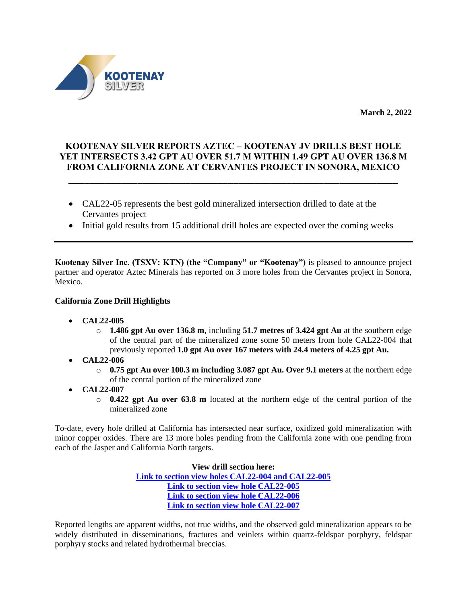

**March 2, 2022**

# **KOOTENAY SILVER REPORTS AZTEC – KOOTENAY JV DRILLS BEST HOLE YET INTERSECTS 3.42 GPT AU OVER 51.7 M WITHIN 1.49 GPT AU OVER 136.8 M FROM CALIFORNIA ZONE AT CERVANTES PROJECT IN SONORA, MEXICO**

**\_\_\_\_\_\_\_\_\_\_\_\_\_\_\_\_\_\_\_\_\_\_\_\_\_\_\_\_\_\_\_\_\_\_\_\_\_\_\_\_\_\_\_\_\_\_\_\_\_\_\_\_\_\_\_\_\_\_\_\_\_\_**

- CAL22-05 represents the best gold mineralized intersection drilled to date at the Cervantes project
- Initial gold results from 15 additional drill holes are expected over the coming weeks

**Kootenay Silver Inc. (TSXV: KTN) (the "Company" or "Kootenay")** is pleased to announce project partner and operator Aztec Minerals has reported on 3 more holes from the Cervantes project in Sonora, Mexico.

### **California Zone Drill Highlights**

- **CAL22-005** 
	- o **1.486 gpt Au over 136.8 m**, including **51.7 metres of 3.424 gpt Au** at the southern edge of the central part of the mineralized zone some 50 meters from hole CAL22-004 that previously reported **1.0 gpt Au over 167 meters with 24.4 meters of 4.25 gpt Au.**
- **CAL22-006** 
	- o **0.75 gpt Au over 100.3 m including 3.087 gpt Au. Over 9.1 meters** at the northern edge of the central portion of the mineralized zone
- **CAL22-007**
	- o **0.422 gpt Au over 63.8 m** located at the northern edge of the central portion of the mineralized zone

To-date, every hole drilled at California has intersected near surface, oxidized gold mineralization with minor copper oxides. There are 13 more holes pending from the California zone with one pending from each of the Jasper and California North targets.

> **View drill section here: [Link to section view holes CAL22-004 and CAL22-005](https://www.kootenaysilver.com/assets/img/nr/Cervantes-Mar-02-2022/Sect-CAL22-004-005.pdf) [Link to section view hole CAL22-005](https://www.kootenaysilver.com/assets/img/nr/Cervantes-Mar-02-2022/Sect-CAL22-005.pdf) [Link to section view hole CAL22-006](https://www.kootenaysilver.com/assets/img/nr/Cervantes-Mar-02-2022/Sect-CAL22-006.pdf) [Link to section view hole CAL22-007](https://www.kootenaysilver.com/assets/img/nr/Cervantes-Mar-02-2022/Sect-CAL22-007.pdf)**

Reported lengths are apparent widths, not true widths, and the observed gold mineralization appears to be widely distributed in disseminations, fractures and veinlets within quartz-feldspar porphyry, feldspar porphyry stocks and related hydrothermal breccias.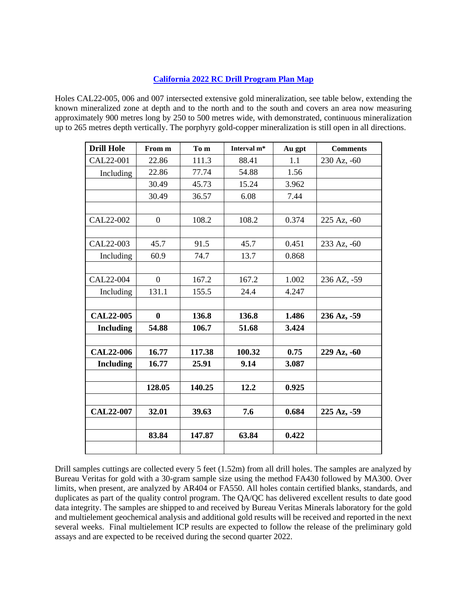## **[California 2022 RC Drill Program Plan Map](https://www.kootenaysilver.com/assets/img/nr/Cervantes-Mar-02-2022/MAD-CER-DRILLING-25022022.jpg)**

Holes CAL22-005, 006 and 007 intersected extensive gold mineralization, see table below, extending the known mineralized zone at depth and to the north and to the south and covers an area now measuring approximately 900 metres long by 250 to 500 metres wide, with demonstrated, continuous mineralization up to 265 metres depth vertically. The porphyry gold-copper mineralization is still open in all directions.

| <b>Drill Hole</b> | From m           | To m   | Interval m <sup>*</sup> | Au gpt | <b>Comments</b> |
|-------------------|------------------|--------|-------------------------|--------|-----------------|
| CAL22-001         | 22.86            | 111.3  | 88.41                   | 1.1    | 230 Az, -60     |
| Including         | 22.86            | 77.74  | 54.88                   | 1.56   |                 |
|                   | 30.49            | 45.73  | 15.24                   | 3.962  |                 |
|                   | 30.49            | 36.57  | 6.08                    | 7.44   |                 |
|                   |                  |        |                         |        |                 |
| CAL22-002         | $\overline{0}$   | 108.2  | 108.2                   | 0.374  | 225 Az, -60     |
|                   |                  |        |                         |        |                 |
| CAL22-003         | 45.7             | 91.5   | 45.7                    | 0.451  | 233 Az, -60     |
| Including         | 60.9             | 74.7   | 13.7                    | 0.868  |                 |
|                   |                  |        |                         |        |                 |
| CAL22-004         | $\overline{0}$   | 167.2  | 167.2                   | 1.002  | 236 AZ, -59     |
| Including         | 131.1            | 155.5  | 24.4                    | 4.247  |                 |
|                   |                  |        |                         |        |                 |
| <b>CAL22-005</b>  | $\boldsymbol{0}$ | 136.8  | 136.8                   | 1.486  | 236 Az, -59     |
| <b>Including</b>  | 54.88            | 106.7  | 51.68                   | 3.424  |                 |
|                   |                  |        |                         |        |                 |
| <b>CAL22-006</b>  | 16.77            | 117.38 | 100.32                  | 0.75   | 229 Az, -60     |
| <b>Including</b>  | 16.77            | 25.91  | 9.14                    | 3.087  |                 |
|                   |                  |        |                         |        |                 |
|                   | 128.05           | 140.25 | 12.2                    | 0.925  |                 |
|                   |                  |        |                         |        |                 |
| <b>CAL22-007</b>  | 32.01            | 39.63  | 7.6                     | 0.684  | 225 Az, -59     |
|                   |                  |        |                         |        |                 |
|                   | 83.84            | 147.87 | 63.84                   | 0.422  |                 |
|                   |                  |        |                         |        |                 |

Drill samples cuttings are collected every 5 feet (1.52m) from all drill holes. The samples are analyzed by Bureau Veritas for gold with a 30-gram sample size using the method FA430 followed by MA300. Over limits, when present, are analyzed by AR404 or FA550. All holes contain certified blanks, standards, and duplicates as part of the quality control program. The QA/QC has delivered excellent results to date good data integrity. The samples are shipped to and received by Bureau Veritas Minerals laboratory for the gold and multielement geochemical analysis and additional gold results will be received and reported in the next several weeks. Final multielement ICP results are expected to follow the release of the preliminary gold assays and are expected to be received during the second quarter 2022.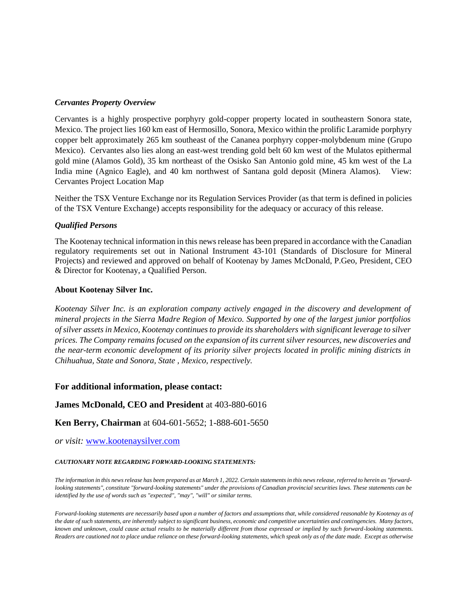#### *Cervantes Property Overview*

Cervantes is a highly prospective porphyry gold-copper property located in southeastern Sonora state, Mexico. The project lies 160 km east of Hermosillo, Sonora, Mexico within the prolific Laramide porphyry copper belt approximately 265 km southeast of the Cananea porphyry copper-molybdenum mine (Grupo Mexico). Cervantes also lies along an east-west trending gold belt 60 km west of the Mulatos epithermal gold mine (Alamos Gold), 35 km northeast of the Osisko San Antonio gold mine, 45 km west of the La India mine (Agnico Eagle), and 40 km northwest of Santana gold deposit (Minera Alamos). View: Cervantes Project Location Map

Neither the TSX Venture Exchange nor its Regulation Services Provider (as that term is defined in policies of the TSX Venture Exchange) accepts responsibility for the adequacy or accuracy of this release.

#### *Qualified Persons*

The Kootenay technical information in this news release has been prepared in accordance with the Canadian regulatory requirements set out in National Instrument 43-101 (Standards of Disclosure for Mineral Projects) and reviewed and approved on behalf of Kootenay by James McDonald, P.Geo, President, CEO & Director for Kootenay, a Qualified Person.

#### **About Kootenay Silver Inc.**

*Kootenay Silver Inc. is an exploration company actively engaged in the discovery and development of mineral projects in the Sierra Madre Region of Mexico. Supported by one of the largest junior portfolios of silver assets in Mexico, Kootenay continues to provide its shareholders with significant leverage to silver prices. The Company remains focused on the expansion of its current silver resources, new discoveries and the near-term economic development of its priority silver projects located in prolific mining districts in Chihuahua, State and Sonora, State , Mexico, respectively.*

#### **For additional information, please contact:**

#### **James McDonald, CEO and President** at 403-880-6016

**Ken Berry, Chairman** at 604-601-5652; 1-888-601-5650

*or visit:* [www.kootenaysilver.com](http://www.kootenaysilver.com/)

#### *CAUTIONARY NOTE REGARDING FORWARD-LOOKING STATEMENTS:*

*The information in this news release has been prepared as at March 1, 2022. Certain statements in this news release, referred to herein as "forwardlooking statements", constitute "forward-looking statements" under the provisions of Canadian provincial securities laws. These statements can be identified by the use of words such as "expected", "may", "will" or similar terms.*

*Forward-looking statements are necessarily based upon a number of factors and assumptions that, while considered reasonable by Kootenay as of the date of such statements, are inherently subject to significant business, economic and competitive uncertainties and contingencies. Many factors, known and unknown, could cause actual results to be materially different from those expressed or implied by such forward-looking statements. Readers are cautioned not to place undue reliance on these forward-looking statements, which speak only as of the date made. Except as otherwise*